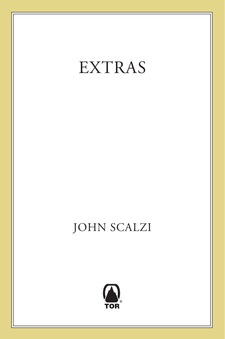## **EXTRAS** JOHN SCALZI **TOR**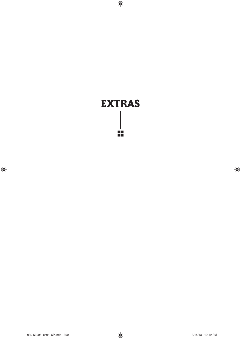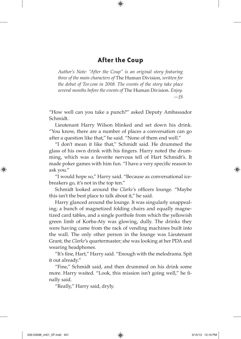## **After the Coup**

*Author's Note: "After the Coup" is an original story featuring three of the main characters of* The Human Division, *written for the debut of Tor .com in 2008. The events of the story take place several months before the events of* The Human Division. *Enjoy. —JS*

"How well can you take a punch?" asked Deputy Ambassador Schmidt.

Lieutenant Harry Wilson blinked and set down his drink. "You know, there are a number of places a conversation can go after a question like that," he said. "None of them end well."

"I don't mean it like that," Schmidt said. He drummed the glass of his own drink with his fingers. Harry noted the drumming, which was a favorite nervous tell of Hart Schmidt's. It made poker games with him fun. "I have a very specific reason to ask you."

"I would hope so," Harry said. "Because as conversational icebreakers go, it's not in the top ten."

Schmidt looked around the *Clarke's* officers lounge. "Maybe this isn't the best place to talk about it," he said.

Harry glanced around the lounge. It was singularly unappealing; a bunch of magnetized folding chairs and equally magnetized card tables, and a single porthole from which the yellowish green limb of Korba-Aty was glowing, dully. The drinks they were having came from the rack of vending machines built into the wall. The only other person in the lounge was Lieutenant Grant, the *Clarke*'s quartermaster; she was looking at her PDA and wearing headphones.

"It's fine, Hart," Harry said. "Enough with the melodrama. Spit it out already."

"Fine," Schmidt said, and then drummed on his drink some more. Harry waited. "Look, this mission isn't going well," he finally said.

"Really," Harry said, dryly.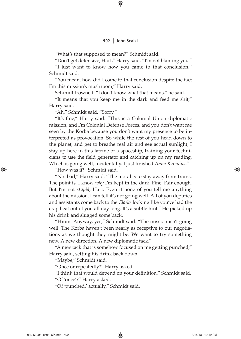"What's that supposed to mean?" Schmidt said.

"Don't get defensive, Hart," Harry said. "I'm not blaming you."

"I just want to know how you came to that conclusion," Schmidt said.

"You mean, how did I come to that conclusion despite the fact I'm this mission's mushroom," Harry said.

Schmidt frowned. "I don't know what that means," he said.

"It means that you keep me in the dark and feed me shit," Harry said.

"Ah," Schmidt said. "Sorry."

"It's fine," Harry said. "This is a Colonial Union diplomatic mission, and I'm Colonial Defense Forces, and you don't want me seen by the Korba because you don't want my presence to be interpreted as provocation. So while the rest of you head down to the planet, and get to breathe real air and see actual sunlight, I stay up here in this latrine of a spaceship, training your technicians to use the field generator and catching up on my reading. Which is going well, incidentally. I just finished Anna Karenina."

"How was it?" Schmidt said.

"Not bad," Harry said. "The moral is to stay away from trains. The point is, I know *why* I'm kept in the dark. Fine. Fair enough. But I'm not *stupid*, Hart. Even if none of you tell me anything about the mission, I can tell it's not going well. All of you deputies and assistants come back to the *Clarke* looking like you've had the crap beat out of you all day long. It's a subtle hint." He picked up his drink and slugged some back.

"Hmm. Anyway, yes," Schmidt said. "The mission isn't going well. The Korba haven't been nearly as receptive to our negotiations as we thought they might be. We want to try something new. A new direction. A new diplomatic tack."

"A new tack that is somehow focused on me getting punched," Harry said, setting his drink back down.

"Maybe," Schmidt said.

"Once or repeatedly?" Harry asked.

"I think that would depend on your definition," Schmidt said. "Of 'once'?" Harry asked.

"Of 'punched,' actually," Schmidt said.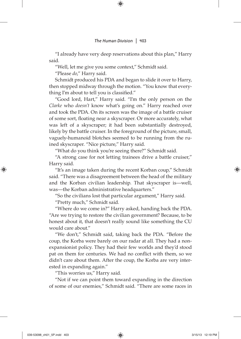"I already have very deep reservations about this plan," Harry said.

"Well, let me give you some context," Schmidt said.

"Please *do*," Harry said.

Schmidt produced his PDA and began to slide it over to Harry, then stopped midway through the motion. "You know that everything I'm about to tell you is classified."

"Good lord, Hart," Harry said. "I'm the only person on the *Clarke* who *doesn't* know what's going on." Harry reached over and took the PDA. On its screen was the image of a battle cruiser of some sort, floating near a skyscraper. Or more accurately, what was left of a skyscraper; it had been substantially destroyed, likely by the battle cruiser. In the foreground of the picture, small, vaguely-humanoid blotches seemed to be running from the ruined skyscraper. "Nice picture," Harry said.

"What do you think you're seeing there?" Schmidt said.

"A strong case for not letting trainees drive a battle cruiser," Harry said.

"It's an image taken during the recent Korban coup," Schmidt said. "There was a disagreement between the head of the military and the Korban civilian leadership. That skyscraper is— well, was— the Korban administrative headquarters."

"So the civilians lost that particular argument," Harry said.

"Pretty much," Schmidt said.

"Where do we come in?" Harry asked, handing back the PDA. "Are we trying to restore the civilian government? Because, to be honest about it, that doesn't really sound like something the CU would care about."

"We don't," Schmidt said, taking back the PDA. "Before the coup, the Korba were barely on our radar at all. They had a nonexpansionist policy. They had their few worlds and they'd stood pat on them for centuries. We had no conflict with them, so we didn't care about them. After the coup, the Korba are very interested in expanding again."

"This worries us," Harry said.

"Not if we can point them toward expanding in the direction of some of our enemies," Schmidt said. "There are some races in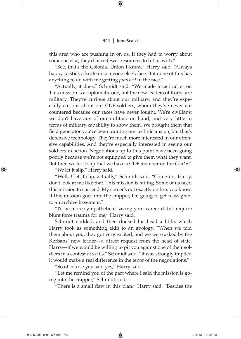this area who are pushing in on us. If they had to worry about someone else, they'd have fewer resources to hit us with."

"See, that's the Colonial Union I know," Harry said. "Always happy to stick a knife in someone else's face. But none of this has anything to do with me getting *punched* in the face."

"Actually, it does," Schmidt said. "We made a tactical error. This mission is a diplomatic one, but the new leaders of Korba are military. They're curious about our military, and they're especially curious about our CDF soldiers, whom they've never encountered because our races have never fought. We're civilians; we don't have any of our military on hand, and very little in terms of military capability to show them. We brought them that field generator you've been training our technicians on, but that's defensive technology. They're much more interested in our offensive capabilities. And they're especially interested in seeing our soldiers in action. Negotiations up to this point have been going poorly because we're not equipped to give them what they want. But then we let it slip that we have a CDF member on the *Clarke*."

"*We* let it slip," Harry said.

"Well, *I* let it slip, actually," Schmidt said. "Come on, Harry, don't look at me like that. This mission is failing. Some of us need this mission to succeed. My career's not exactly on fire, you know. If this mission goes into the crapper, I'm going to get reassigned to an archive basement."

"I'd be more sympathetic if saving your career didn't require blunt force trauma for me," Harry said.

Schmidt nodded, and then ducked his head a little, which Harry took as something akin to an apology. "When we told them about you, they got very excited, and we were asked by the Korbans' new leader—a direct request from the head of state, Harry—if we would be willing to pit you against one of their soldiers in a contest of skills," Schmidt said. "It was strongly implied it would make a real difference in the tenor of the negotiations."

"So of course you said yes," Harry said.

"Let me remind you of the part where I said the mission is going into the crapper," Schmidt said.

"There is a small flaw in this plan," Harry said. "Besides the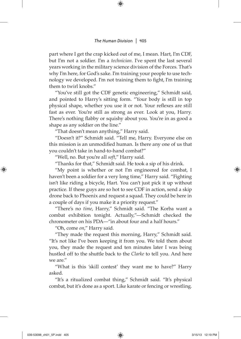part where I get the crap kicked out of me, I mean. Hart, I'm CDF, but I'm not a soldier. I'm a *technician*. I've spent the last several years working in the military science division of the Forces. That's why I'm here, for God's sake. I'm training your people to use technology we developed. I'm not training them to fight, I'm training them to twirl knobs."

"You've still got the CDF genetic engineering," Schmidt said, and pointed to Harry's sitting form. "Your body is still in top physical shape, whether you use it or not. Your reflexes are still fast as ever. You're still as strong as ever. Look at you, Harry. There's nothing flabby or squishy about you. You're in as good a shape as any soldier on the line."

"That doesn't mean anything," Harry said.

"Doesn't it?" Schmidt said. "Tell me, Harry. Everyone else on this mission is an unmodified human. Is there any one of us that you couldn't take in hand-to-hand combat?"

"Well, no. But you're all *soft*," Harry said.

"Thanks for that," Schmidt said. He took a sip of his drink.

"My point is whether or not I'm engineered for combat, I haven't been a soldier for a very long time," Harry said. "Fighting isn't like riding a bicycle, Hart. You can't just pick it up without practice. If these guys are so hot to see CDF in action, send a skip drone back to Phoenix and request a squad. They could be here in a couple of days if you make it a priority request."

"There's no *time*, Harry," Schmidt said. "The Korba want a combat exhibition tonight. Actually,"-Schmidt checked the chronometer on his PDA—"in about four and a half hours."

"Oh, come *on*," Harry said.

"They made the request this morning, Harry," Schmidt said. "It's not like I've been keeping it from you. We told them about you, they made the request and ten minutes later I was being hustled off to the shuttle back to the *Clarke* to tell you. And here we are."

"What is this 'skill contest' they want me to have?" Harry asked.

"It's a ritualized combat thing," Schmidt said. "It's physical combat, but it's done as a sport. Like karate or fencing or wrestling.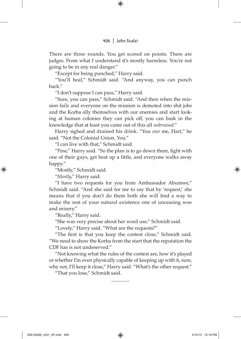There are three rounds. You get scored on points. There are judges. From what I understand it's mostly harmless. You're not going to be in any real danger."

"Except for being punched," Harry said.

"You'll heal," Schmidt said. "And anyway, you can punch back."

"I don't suppose I can pass," Harry said.

"Sure, you can pass," Schmidt said. "And then when the mission fails and everyone on the mission is demoted into shit jobs and the Korba ally themselves with our enemies and start looking at human colonies they can pick off, you can bask in the knowledge that at least you came out of this all *unbruised*."

Harry sighed and drained his drink. "You *owe* me, Hart," he said. "Not the Colonial Union. You."

"I can live with that," Schmidt said.

"Fine," Harry said. "So the plan is to go down there, fight with one of their guys, get beat up a little, and everyone walks away happy."

"Mostly," Schmidt said.

"*Mostly*," Harry said.

"I have two requests for you from Ambassador Abumwe," Schmidt said. "And she said for me to say that by 'request,' she means that if you don't do them both she will find a way to make the rest of your natural existence one of unceasing woe and misery."

"Really," Harry said.

"She was very precise about her word use," Schmidt said.

"Lovely," Harry said. "What are the requests?"

"The first is that you keep the contest close," Schmidt said. "We need to show the Korba from the start that the reputation the CDF has is not undeserved."

"Not knowing what the rules of the contest are, how it's played or whether I'm even physically capable of keeping up with it, sure, why not, I'll keep it close," Harry said. "What's the other request."

"That you lose," Schmidt said.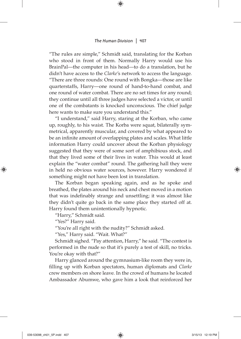"The rules are simple," Schmidt said, translating for the Korban who stood in front of them. Normally Harry would use his BrainPal— the computer in his head— to do a translation, but he didn't have access to the *Clarke*'s network to access the language. "There are three rounds: One round with Bongka— those are like quarterstaffs, Harry-one round of hand-to-hand combat, and one round of water combat. There are no set times for any round; they continue until all three judges have selected a victor, or until one of the combatants is knocked unconscious. The chief judge here wants to make sure you understand this."

"I understand," said Harry, staring at the Korban, who came up, roughly, to his waist. The Korba were squat, bilaterally symmetrical, apparently muscular, and covered by what appeared to be an infinite amount of overlapping plates and scales. What little information Harry could uncover about the Korban physiology suggested that they were of some sort of amphibious stock, and that they lived some of their lives in water. This would at least explain the "water combat" round. The gathering hall they were in held no obvious water sources, however. Harry wondered if something might not have been lost in translation.

The Korban began speaking again, and as he spoke and breathed, the plates around his neck and chest moved in a motion that was indefinably strange and unsettling; it was almost like they didn't quite go back in the same place they started off at. Harry found them unintentionally hypnotic.

"Harry," Schmidt said.

"Yes?" Harry said.

"You're all right with the nudity?" Schmidt asked.

"Yes," Harry said. "Wait. What?"

Schmidt sighed. "Pay attention, Harry," he said. "The contest is performed in the nude so that it's purely a test of skill, no tricks. You're okay with that?"

Harry glanced around the gymnasium-like room they were in, filling up with Korban spectators, human diplomats and *Clarke* crew members on shore leave. In the crowd of humans he located Ambassador Abumwe, who gave him a look that reinforced her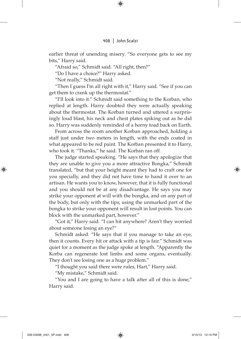earlier threat of unending misery. "So everyone gets to see my bits," Harry said.

"Afraid so," Schmidt said. "All right, then?"

"Do I have a choice?" Harry asked.

"Not really," Schmidt said.

"Then I guess I'm all right with it," Harry said. "See if you can get them to crank up the thermostat."

"I'll look into it." Schmidt said something to the Korban, who replied at length. Harry doubted they were actually speaking about the thermostat. The Korban turned and uttered a surprisingly loud blast, his neck and chest plates spiking out as he did so. Harry was suddenly reminded of a horny toad back on Earth.

From across the room another Korban approached, holding a staff just under two meters in length, with the ends coated in what appeared to be red paint. The Korban presented it to Harry, who took it. "Thanks," he said. The Korban ran off.

The judge started speaking. "He says that they apologize that they are unable to give you a more attractive Bongka," Schmidt translated, "but that your height meant they had to craft one for you specially, and they did not have time to hand it over to an artisan. He wants you to know, however, that it is fully functional and you should not be at any disadvantage. He says you may strike your opponent at will with the bongka, and on any part of the body, but only with the tips; using the unmarked part of the bongka to strike your opponent will result in lost points. You can block with the unmarked part, however."

"Got it," Harry said. "I can hit anywhere? Aren't they worried about someone losing an eye?"

Schmidt asked. "He says that if you manage to take an eye, then it counts. Every hit or attack with a tip is fair." Schmidt was quiet for a moment as the judge spoke at length. "Apparently the Korba can regenerate lost limbs and some organs, eventually. They don't see losing one as a huge problem."

"I thought you said there were rules, Hart," Harry said.

"My mistake," Schmidt said.

"You and I are going to have a talk after all of this is done," Harry said.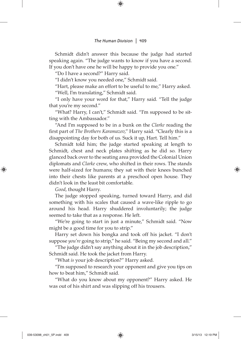Schmidt didn't answer this because the judge had started speaking again. "The judge wants to know if you have a second. If you don't have one he will be happy to provide you one."

"Do I have a second?" Harry said.

"I didn't know you needed one," Schmidt said.

"Hart, please make an effort to be useful to me," Harry asked.

"Well, I'm translating," Schmidt said.

"I only have your word for that," Harry said. "Tell the judge that you're my second."

"What? Harry, I can't," Schmidt said. "I'm supposed to be sitting with the Ambassador."

"And I'm supposed to be in a bunk on the *Clarke* reading the first part of *The Brothers Karamazov*," Harry said. "Clearly this is a disappointing day for both of us. Suck it up, Hart. Tell him."

Schmidt told him; the judge started speaking at length to Schmidt, chest and neck plates shifting as he did so. Harry glanced back over to the seating area provided the Colonial Union diplomats and *Clarke* crew, who shifted in their rows. The stands were half-sized for humans; they sat with their knees bunched into their chests like parents at a preschool open house. They didn't look in the least bit comfortable.

*Good*, thought Harry.

The judge stopped speaking, turned toward Harry, and did something with his scales that caused a wave-like ripple to go around his head. Harry shuddered involuntarily; the judge seemed to take that as a response. He left.

"We're going to start in just a minute," Schmidt said. "Now might be a good time for you to strip."

Harry set down his bongka and took off his jacket. "I don't suppose *you're* going to strip," he said. "Being my second and all."

"The judge didn't say anything about it in the job description," Schmidt said. He took the jacket from Harry.

"What *is* your job description?" Harry asked.

"I'm supposed to research your opponent and give you tips on how to beat him," Schmidt said.

"What do you know about my opponent?" Harry asked. He was out of his shirt and was slipping off his trousers.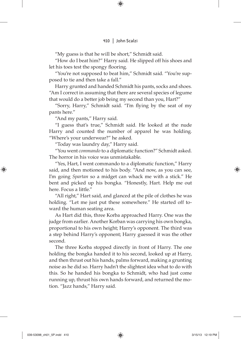"My guess is that he will be short," Schmidt said.

"How do I beat him?" Harry said. He slipped off his shoes and let his toes test the spongy flooring.

"You're not supposed to beat him," Schmidt said. "You're supposed to tie and then take a fall."

Harry grunted and handed Schmidt his pants, socks and shoes. "Am I correct in assuming that there are several species of legume that would do a better job being my second than you, Hart?"

"Sorry, Harry," Schmidt said. "I'm flying by the seat of my pants here."

"And my pants," Harry said.

"I guess that's true," Schmidt said. He looked at the nude Harry and counted the number of apparel he was holding. "Where's your underwear?" he asked.

"Today was laundry day," Harry said.

"You went *commando* to a diplomatic function?" Schmidt asked. The horror in his voice was unmistakable.

"Yes, Hart, I went commando to a diplomatic function," Harry said, and then motioned to his body. "And now, as you can see, I'm going *Spartan* so a midget can whack me with a stick." He bent and picked up his bongka. "Honestly, Hart. Help me out here. Focus a little."

"All right," Hart said, and glanced at the pile of clothes he was holding. "Let me just put these somewhere." He started off toward the human seating area.

As Hart did this, three Korba approached Harry. One was the judge from earlier. Another Korban was carrying his own bongka, proportional to his own height; Harry's opponent. The third was a step behind Harry's opponent; Harry guessed it was the other second.

The three Korba stopped directly in front of Harry. The one holding the bongka handed it to his second, looked up at Harry, and then thrust out his hands, palms forward, making a grunting noise as he did so. Harry hadn't the slightest idea what to do with this. So he handed his bongka to Schmidt, who had just come running up, thrust his own hands forward, and returned the motion. "Jazz hands," Harry said.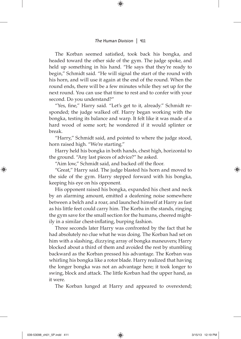The Korban seemed satisfied, took back his bongka, and headed toward the other side of the gym. The judge spoke, and held up something in his hand. "He says that they're ready to begin," Schmidt said. "He will signal the start of the round with his horn, and will use it again at the end of the round. When the round ends, there will be a few minutes while they set up for the next round. You can use that time to rest and to confer with your second. Do you understand?"

"Yes, fine," Harry said. "Let's get to it, already." Schmidt responded; the judge walked off. Harry began working with the bongka, testing its balance and warp. It felt like it was made of a hard wood of some sort; he wondered if it would splinter or break.

"Harry," Schmidt said, and pointed to where the judge stood, horn raised high. "We're starting."

Harry held his bongka in both hands, chest high, horizontal to the ground. "Any last pieces of advice?" he asked.

"Aim low," Schmidt said, and backed off the floor.

"Great," Harry said. The judge blasted his horn and moved to the side of the gym. Harry stepped forward with his bongka, keeping his eye on his opponent.

His opponent raised his bongka, expanded his chest and neck by an alarming amount, emitted a deafening noise somewhere between a belch and a roar, and launched himself at Harry as fast as his little feet could carry him. The Korba in the stands, ringing the gym save for the small section for the humans, cheered mightily in a similar chest-inflating, burping fashion.

Three seconds later Harry was confronted by the fact that he had absolutely no clue what he was doing. The Korban had set on him with a slashing, dizzying array of bongka maneuvers; Harry blocked about a third of them and avoided the rest by stumbling backward as the Korban pressed his advantage. The Korban was whirling his bongka like a rotor blade. Harry realized that having the longer bongka was not an advantage here; it took longer to swing, block and attack. The little Korban had the upper hand, as it were.

The Korban lunged at Harry and appeared to overextend;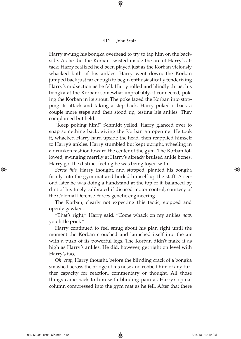Harry swung his bongka overhead to try to tap him on the backside. As he did the Korban twisted inside the arc of Harry's attack; Harry realized he'd been played just as the Korban viciously whacked both of his ankles. Harry went down; the Korban jumped back just far enough to begin enthusiastically tenderizing Harry's midsection as he fell. Harry rolled and blindly thrust his bongka at the Korban; somewhat improbably, it connected, poking the Korban in its snout. The poke fazed the Korban into stopping its attack and taking a step back. Harry poked it back a couple more steps and then stood up, testing his ankles. They complained but held.

"Keep poking him!" Schmidt yelled. Harry glanced over to snap something back, giving the Korban an opening. He took it, whacked Harry hard upside the head, then reapplied himself to Harry's ankles. Harry stumbled but kept upright, wheeling in a drunken fashion toward the center of the gym. The Korban followed, swinging merrily at Harry's already bruised ankle bones. Harry got the distinct feeling he was being toyed with.

*Screw this*, Harry thought, and stopped, planted his bongka firmly into the gym mat and hurled himself up the staff. A second later he was doing a handstand at the top of it, balanced by dint of his finely calibrated if disused motor control, courtesy of the Colonial Defense Forces genetic engineering.

The Korban, clearly not expecting this tactic, stopped and openly gawked.

"That's right," Harry said. "Come whack on my ankles *now*, you little prick."

Harry continued to feel smug about his plan right until the moment the Korban crouched and launched itself into the air with a push of its powerful legs. The Korban didn't make it as high as Harry's ankles. He did, however, get right on level with Harry's face.

*Oh, crap*, Harry thought, before the blinding crack of a bongka smashed across the bridge of his nose and robbed him of any further capacity for reaction, commentary or thought. All those things came back to him with blinding pain as Harry's spinal column compressed into the gym mat as he fell. After that there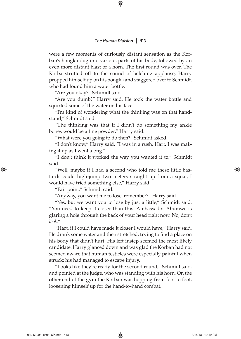were a few moments of curiously distant sensation as the Korban's bongka dug into various parts of his body, followed by an even more distant blast of a horn. The first round was over. The Korba strutted off to the sound of belching applause; Harry propped himself up on his bongka and staggered over to Schmidt, who had found him a water bottle.

"Are you okay?" Schmidt said.

"Are you dumb?" Harry said. He took the water bottle and squirted some of the water on his face.

"I'm kind of wondering what the thinking was on that handstand," Schmidt said.

"The thinking was that if I didn't do something my ankle bones would be a fine powder," Harry said.

"What were you going to do then?" Schmidt asked.

"I don't know," Harry said. "I was in a rush, Hart. I was making it up as I went along."

"I don't think it worked the way you wanted it to," Schmidt said.

"Well, maybe if I had a second who told me these little bastards could high-jump two meters straight up from a squat, I would have tried something else," Harry said.

"Fair point," Schmidt said.

"Anyway, you want me to lose, remember?" Harry said.

"Yes, but we want you to lose by just a little," Schmidt said. "You need to keep it closer than this. Ambassador Abumwe is glaring a hole through the back of your head right now. No, don't *look*."

"Hart, if I could have made it closer I would have," Harry said. He drank some water and then stretched, trying to find a place on his body that didn't hurt. His left instep seemed the most likely candidate. Harry glanced down and was glad the Korban had not seemed aware that human testicles were especially painful when struck; his had managed to escape injury.

"Looks like they're ready for the second round," Schmidt said, and pointed at the judge, who was standing with his horn. On the other end of the gym the Korban was hopping from foot to foot, loosening himself up for the hand-to-hand combat.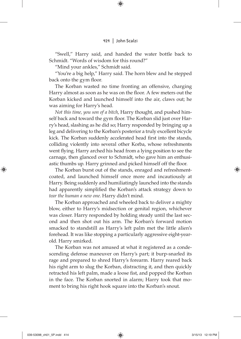"Swell," Harry said, and handed the water bottle back to Schmidt. "Words of wisdom for this round?"

"Mind your ankles," Schmidt said.

"You're a big help," Harry said. The horn blew and he stepped back onto the gym floor.

The Korban wasted no time fronting an offensive, charging Harry almost as soon as he was on the floor. A few meters out the Korban kicked and launched himself into the air, claws out; he was aiming for Harry's head.

*Not this time, you son of a bitch*, Harry thought, and pushed himself back and toward the gym floor. The Korban slid just over Harry's head, slashing as he did so; Harry responded by bringing up a leg and delivering to the Korban's posterior a truly excellent bicycle kick. The Korban suddenly accelerated head first into the stands, colliding violently into several other Korba, whose refreshments went flying. Harry arched his head from a lying position to see the carnage, then glanced over to Schmidt, who gave him an enthusiastic thumbs up. Harry grinned and picked himself off the floor.

The Korban burst out of the stands, enraged and refreshmentcoated, and launched himself once more and incautiously at Harry. Being suddenly and humiliatingly launched into the stands had apparently simplified the Korban's attack strategy down to *tear the human a new one*. Harry didn't mind.

The Korban approached and wheeled back to deliver a mighty blow, either to Harry's midsection or genital region, whichever was closer. Harry responded by holding steady until the last second and then shot out his arm. The Korban's forward motion smacked to standstill as Harry's left palm met the little alien's forehead. It was like stopping a particularly aggressive eight-yearold. Harry smirked.

The Korban was not amused at what it registered as a condescending defense maneuver on Harry's part; it burp-snarled its rage and prepared to shred Harry's forearm. Harry reared back his right arm to slug the Korban, distracting it, and then quickly retracted his left palm, made a loose fist, and popped the Korban in the face. The Korban snorted in alarm; Harry took that moment to bring his right hook square into the Korban's snout.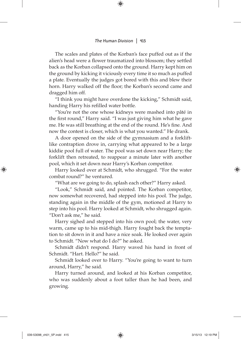The scales and plates of the Korban's face puffed out as if the alien's head were a flower traumatized into blossom; they settled back as the Korban collapsed onto the ground. Harry kept him on the ground by kicking it viciously every time it so much as puffed a plate. Eventually the judges got bored with this and blew their horn. Harry walked off the floor; the Korban's second came and dragged him off.

"I think you might have overdone the kicking," Schmidt said, handing Harry his refilled water bottle.

"You're not the one whose kidneys were mashed into pâté in the first round," Harry said. "I was just giving him what he gave me. He was still breathing at the end of the round. He's fine. And now the contest is closer, which is what you wanted." He drank.

A door opened on the side of the gymnasium and a forkliftlike contraption drove in, carrying what appeared to be a large kiddie pool full of water. The pool was set down near Harry; the forklift then retreated, to reappear a minute later with another pool, which it set down near Harry's Korban competitor.

Harry looked over at Schmidt, who shrugged. "For the water combat round?" he ventured.

"What are we going to do, splash each other?" Harry asked.

"Look," Schmidt said, and pointed. The Korban competitor, now somewhat recovered, had stepped into his pool. The judge, standing again in the middle of the gym, motioned at Harry to step into his pool. Harry looked at Schmidt, who shrugged again. "Don't ask me," he said.

Harry sighed and stepped into his own pool; the water, very warm, came up to his mid-thigh. Harry fought back the temptation to sit down in it and have a nice soak. He looked over again to Schmidt. "Now what do I do?" he asked.

Schmidt didn't respond. Harry waved his hand in front of Schmidt. "Hart. Hello?" he said.

Schmidt looked over to Harry. "You're going to want to turn around, Harry," he said.

Harry turned around, and looked at his Korban competitor, who was suddenly about a foot taller than he had been, and growing.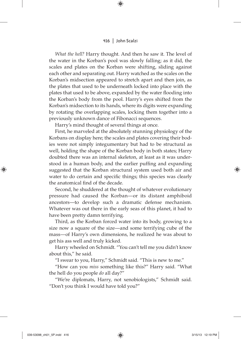*What the hell?* Harry thought. And then he saw it. The level of the water in the Korban's pool was slowly falling; as it did, the scales and plates on the Korban were shifting, sliding against each other and separating out. Harry watched as the scales on the Korban's midsection appeared to stretch apart and then join, as the plates that used to be underneath locked into place with the plates that used to be above, expanded by the water flooding into the Korban's body from the pool. Harry's eyes shifted from the Korban's midsection to its hands, where its digits were expanding by rotating the overlapping scales, locking them together into a previously unknown dance of Fibonacci sequences.

Harry's mind thought of several things at once.

First, he marveled at the absolutely stunning physiology of the Korbans on display here; the scales and plates covering their bodies were not simply integumentary but had to be structural as well, holding the shape of the Korban body in both states; Harry doubted there was an internal skeleton, at least as it was understood in a human body, and the earlier puffing and expanding suggested that the Korban structural system used both air and water to do certain and specific things; this species was clearly the anatomical find of the decade.

Second, he shuddered at the thought of whatever evolutionary pressure had caused the Korban— or its distant amphiboid ancestors— to develop such a dramatic defense mechanism. Whatever was out there in the early seas of this planet, it had to have been pretty damn terrifying.

Third, as the Korban forced water into its body, growing to a size now a square of the size—and some terrifying cube of the mass—of Harry's own dimensions, he realized he was about to get his ass well and truly kicked.

Harry wheeled on Schmidt. "You can't tell me you didn't know about this," he said.

"I swear to you, Harry," Schmidt said. "This is new to me."

"How can you *miss* something like this?" Harry said. "What the hell do you people *do* all day?"

"We're diplomats, Harry, not xenobiologists," Schmidt said. "Don't you think I would have told you?"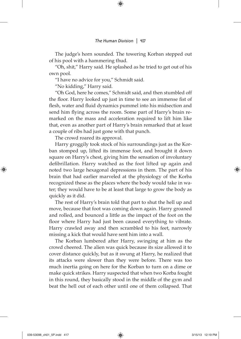The judge's horn sounded. The towering Korban stepped out of his pool with a hammering thud.

"Oh, shit," Harry said. He splashed as he tried to get out of his own pool.

"I have no advice for you," Schmidt said.

"No kidding," Harry said.

"Oh God, here he comes," Schmidt said, and then stumbled off the floor. Harry looked up just in time to see an immense fist of flesh, water and fluid dynamics pummel into his midsection and send him flying across the room. Some part of Harry's brain remarked on the mass and acceleration required to lift him like that, even as another part of Harry's brain remarked that at least a couple of ribs had just gone with that punch.

The crowd roared its approval.

Harry groggily took stock of his surroundings just as the Korban stomped up, lifted its im mense foot, and brought it down square on Harry's chest, giving him the sensation of involuntary defibrillation. Harry watched as the foot lifted up again and noted two large hexagonal depressions in them. The part of his brain that had earlier marveled at the physiology of the Korba recognized these as the places where the body would take in water; they would have to be at least that large to grow the body as quickly as it did.

The rest of Harry's brain told that part to shut the hell up and move, because that foot was coming down again. Harry groaned and rolled, and bounced a little as the impact of the foot on the floor where Harry had just been caused everything to vibrate. Harry crawled away and then scrambled to his feet, narrowly missing a kick that would have sent him into a wall.

The Korban lumbered after Harry, swinging at him as the crowd cheered. The alien was quick because its size allowed it to cover distance quickly, but as it swung at Harry, he realized that its attacks were slower than they were before. There was too much inertia going on here for the Korban to turn on a dime or make quick strikes. Harry suspected that when two Korba fought in this round, they basically stood in the middle of the gym and beat the hell out of each other until one of them collapsed. That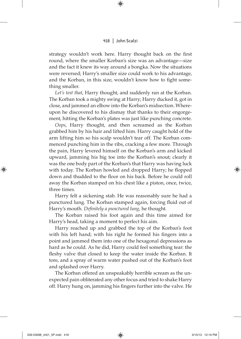strategy wouldn't work here. Harry thought back on the first round, where the smaller Korban's size was an advantage-size and the fact it knew its way around a bongka. Now the situations were reversed; Harry's smaller size could work to his advantage, and the Korban, in this size, wouldn't know how to fight something smaller.

*Let's test that*, Harry thought, and suddenly ran at the Korban. The Korban took a mighty swing at Harry; Harry ducked it, got in close, and jammed an elbow into the Korban's midsection. Whereupon he discovered to his dismay that thanks to their engorgement, hitting the Korban's plates was just like punching concrete.

*Oops*, Harry thought, and then screamed as the Korban grabbed him by his hair and lifted him. Harry caught hold of the arm lifting him so his scalp wouldn't tear off. The Korban commenced punching him in the ribs, cracking a few more. Through the pain, Harry levered himself on the Korban's arm and kicked upward, jamming his big toe into the Korban's snout; clearly it was the one body part of the Korban's that Harry was having luck with today. The Korban howled and dropped Harry; he flopped down and thudded to the floor on his back. Before he could roll away the Korban stamped on his chest like a piston, once, twice, three times.

Harry felt a sickening stab. He was reasonably sure he had a punctured lung. The Korban stamped again, forcing fluid out of Harry's mouth. *Definitely a punctured lung*, he thought.

The Korban raised his foot again and this time aimed for Harry's head, taking a moment to perfect his aim.

Harry reached up and grabbed the top of the Korban's foot with his left hand; with his right he formed his fingers into a point and jammed them into one of the hexagonal depressions as hard as he could. As he did, Harry could feel something tear: the fleshy valve that closed to keep the water inside the Korban. It tore, and a spray of warm water pushed out of the Korban's foot and splashed over Harry.

The Korban offered an unspeakably horrible scream as the unexpected pain obliterated any other focus and tried to shake Harry off. Harry hung on, jamming his fingers further into the valve. He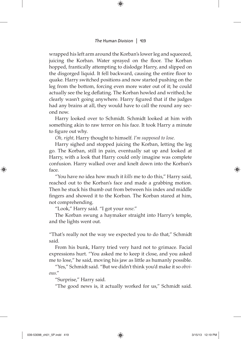wrapped his left arm around the Korban's lower leg and squeezed, juicing the Korban. Water sprayed on the floor. The Korban hopped, frantically attempting to dislodge Harry, and slipped on the disgorged liquid. It fell backward, causing the entire floor to quake. Harry switched positions and now started pushing on the leg from the bottom, forcing even more water out of it; he could actually see the leg deflating. The Korban howled and writhed; he clearly wasn't going anywhere. Harry figured that if the judges had any brains at all, they would have to call the round any second now.

Harry looked over to Schmidt. Schmidt looked at him with something akin to raw terror on his face. It took Harry a minute to figure out why.

*Oh, right,* Harry thought to himself. *I'm supposed to lose*.

Harry sighed and stopped juicing the Korban, letting the leg go. The Korban, still in pain, eventually sat up and looked at Harry, with a look that Harry could only imagine was complete confusion. Harry walked over and knelt down into the Korban's face.

"You have no idea how much it *kills* me to do this," Harry said, reached out to the Korban's face and made a grabbing motion. Then he stuck his thumb out from between his index and middle fingers and showed it to the Korban. The Korban stared at him, not comprehending.

"Look," Harry said. "I got your *nose*."

The Korban swung a haymaker straight into Harry's temple, and the lights went out.

"That's really not the way we expected you to do that," Schmidt said.

From his bunk, Harry tried very hard not to grimace. Facial expressions hurt. "You asked me to keep it close, and you asked me to lose," he said, moving his jaw as little as humanly possible.

"Yes," Schmidt said. "But we didn't think you'd make it so *obvious*."

"Surprise," Harry said.

"The good news is, it actually worked for us," Schmidt said.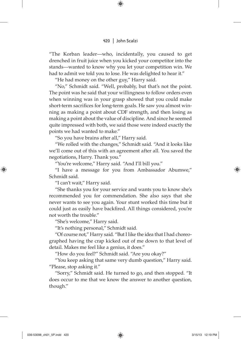"The Korban leader— who, incidentally, you caused to get drenched in fruit juice when you kicked your competitor into the stands— wanted to know why you let your competition win. We had to admit we told you to lose. He was delighted to hear it."

"He had money on the other guy," Harry said.

"No," Schmidt said. "Well, probably, but that's not the point. The point was he said that your willingness to follow orders even when winning was in your grasp showed that you could make short-term sacrifices for long-term goals. He saw you almost winning as making a point about CDF strength, and then losing as making a point about the value of discipline. And since he seemed quite impressed with both, we said those were indeed exactly the points we had wanted to make."

"So you have brains after all," Harry said.

"We rolled with the changes," Schmidt said. "And it looks like we'll come out of this with an agreement after all. You saved the negotiations, Harry. Thank you."

"You're welcome," Harry said. "And I'll bill you."

"I have a message for you from Ambassador Abumwe," Schmidt said.

"I can't wait," Harry said.

"She thanks you for your ser vice and wants you to know she's recommended you for commendation. She also says that she never wants to see you again. Your stunt worked this time but it could just as easily have backfired. All things considered, you're not worth the trouble."

"She's welcome," Harry said.

"It's nothing personal," Schmidt said.

"Of course not," Harry said. "But I like the idea that I had choreographed having the crap kicked out of me down to that level of detail. Makes me feel like a genius, it does."

"How do you feel?" Schmidt said. "Are you okay?"

"You keep asking that same very dumb question," Harry said. "Please, stop asking it."

"Sorry," Schmidt said. He turned to go, and then stopped. "It does occur to me that we know the answer to another question, though."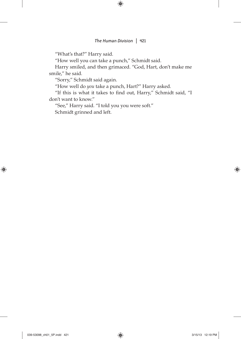"What's that?" Harry said.

"How well you can take a punch," Schmidt said.

Harry smiled, and then grimaced. "God, Hart, don't make me smile," he said.

"Sorry," Schmidt said again.

"How well do *you* take a punch, Hart?" Harry asked.

"If this is what it takes to find out, Harry," Schmidt said, "I don't want to know."

"See," Harry said. "I told you you were soft."

Schmidt grinned and left.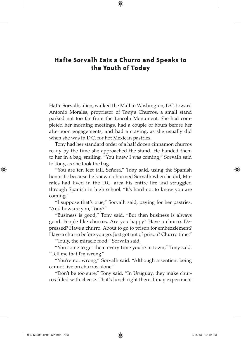## **Hafte Sorvalh Eats a Churro and Speaks to the Youth of Today**

Hafte Sorvalh, alien, walked the Mall in Washington, D.C. toward Antonio Morales, proprietor of Tony's Churros, a small stand parked not too far from the Lincoln Monument. She had completed her morning meetings, had a couple of hours before her afternoon engagements, and had a craving, as she usually did when she was in D.C. for hot Mexican pastries.

Tony had her standard order of a half dozen cinnamon churros ready by the time she approached the stand. He handed them to her in a bag, smiling. "You knew I was coming," Sorvalh said to Tony, as she took the bag.

"You are ten feet tall, Señora," Tony said, using the Spanish honorific because he knew it charmed Sorvalh when he did: Morales had lived in the D.C. area his entire life and struggled through Spanish in high school. "It's hard not to know you are coming."

"I suppose that's true," Sorvalh said, paying for her pastries. "And how are you, Tony?"

"Business is good," Tony said. "But then business is always good. People like churros. Are you happy? Have a churro. Depressed? Have a churro. About to go to prison for embezzlement? Have a churro before you go. Just got out of prison? Churro time."

"Truly, the miracle food," Sorvalh said.

"You come to get them every time you're in town," Tony said. "Tell me that I'm wrong."

"You're not wrong," Sorvalh said. "Although a sentient being cannot live on churros alone."

"Don't be too sure," Tony said. "In Uruguay, they make churros filled with cheese. That's lunch right there. I may experiment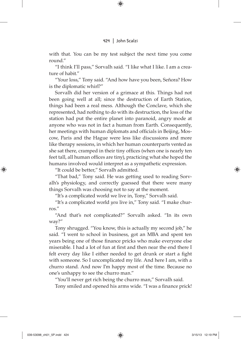with that. You can be my test subject the next time you come round."

"I think I'll pass," Sorvalh said. "I like what I like. I am a creature of habit."

"Your loss," Tony said. "And how have you been, Señora? How is the diplomatic whirl?"

Sorvalh did her version of a grimace at this. Things had not been going well at all; since the destruction of Earth Station, things had been a real mess. Although the Conclave, which she represented, had nothing to do with its destruction, the loss of the station had put the entire planet into paranoid, angry mode at anyone who was not in fact a human from Earth. Consequently, her meetings with human diplomats and officials in Beijing, Moscow, Paris and the Hague were less like discussions and more like therapy sessions, in which her human counterparts vented as she sat there, cramped in their tiny offices (when one is nearly ten feet tall, all human offices are tiny), practicing what she hoped the humans involved would interpret as a sympathetic expression.

"It could be better," Sorvalh admitted.

"That bad," Tony said. He was getting used to reading Sorvalh's physiology, and correctly guessed that there were many things Sorvalh was choosing not to say at the moment.

"It's a complicated world we live in, Tony," Sorvalh said.

"It's a complicated world *you* live in," Tony said. "I make churros."

"And that's not complicated?" Sorvalh asked. "In its own way?"

Tony shrugged. "You know, this is actually my second job," he said. "I went to school in business, got an MBA and spent ten years being one of those finance pricks who make everyone else miserable. I had a lot of fun at first and then near the end there I felt every day like I either needed to get drunk or start a fight with someone. So I uncomplicated my life. And here I am, with a churro stand. And now I'm happy most of the time. Because no one's unhappy to see the churro man."

"You'll never get rich being the churro man," Sorvalh said.

Tony smiled and opened his arms wide. "I was a finance prick!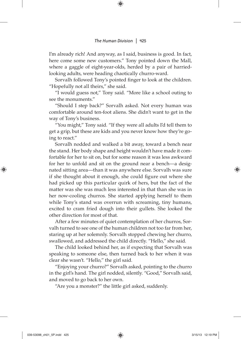I'm already rich! And anyway, as I said, business is good. In fact, here come some new customers." Tony pointed down the Mall, where a gaggle of eight-year-olds, herded by a pair of harriedlooking adults, were heading chaotically churro-ward.

Sorvalh followed Tony's pointed finger to look at the children. "Hopefully not all theirs," she said.

"I would guess not," Tony said. "More like a school outing to see the monuments."

"Should I step back?" Sorvalh asked. Not every human was comfortable around ten-foot aliens. She didn't want to get in the way of Tony's business.

"You might," Tony said. "If they were all adults I'd tell them to get a grip, but these are kids and you never know how they're going to react."

Sorvalh nodded and walked a bit away, toward a bench near the stand. Her body shape and height wouldn't have made it comfortable for her to sit on, but for some reason it was less awkward for her to unfold and sit on the ground near a bench—a designated sitting area—than it was anywhere else. Sorvalh was sure if she thought about it enough, she could figure out where she had picked up this particular quirk of hers, but the fact of the matter was she was much less interested in that than she was in her now-cooling churros. She started applying herself to them while Tony's stand was overrun with screaming, tiny humans, excited to cram fried dough into their gullets. She looked the other direction for most of that.

After a few minutes of quiet contemplation of her churros, Sorvalh turned to see one of the human children not too far from her, staring up at her solemnly. Sorvalh stopped chewing her churro, swallowed, and addressed the child directly. "Hello," she said.

The child looked behind her, as if expecting that Sorvalh was speaking to someone else, then turned back to her when it was clear she wasn't. "Hello," the girl said.

"Enjoying your churro?" Sorvalh asked, pointing to the churro in the girl's hand. The girl nodded, silently. "Good," Sorvalh said, and moved to go back to her own.

"Are you a monster?" the little girl asked, suddenly.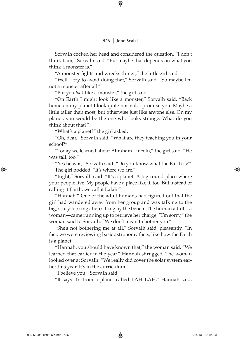Sorvalh cocked her head and considered the question. "I don't think I am," Sorvalh said. "But maybe that depends on what you think a monster is."

"A monster fights and wrecks things," the little girl said.

"Well, I try to avoid doing that," Sorvalh said. "So maybe I'm not a monster after all."

"But you *look* like a monster," the girl said.

"On Earth I might look like a monster," Sorvalh said. "Back home on my planet I look quite normal, I promise you. Maybe a little taller than most, but otherwise just like anyone else. On my planet, you would be the one who looks strange. What do you think about that?"

"What's a planet?" the girl asked.

"Oh, dear," Sorvalh said. "What are they teaching you in your school?"

"Today we learned about Abraham Lincoln," the girl said. "He was tall, too."

"Yes he was," Sorvalh said. "Do you know what the Earth is?" The girl nodded. "It's where we are."

"Right," Sorvalh said. "It's a planet. A big round place where your people live. My people have a place like it, too. But instead of calling it Earth, we call it Lalah."

"Hannah!" One of the adult humans had figured out that the girl had wandered away from her group and was talking to the big, scary-looking alien sitting by the bench. The human adult—a woman— came running up to retrieve her charge. "I'm sorry," the woman said to Sorvalh. "We don't mean to bother you."

"She's not bothering me at all," Sorvalh said, pleasantly. "In fact, we were reviewing basic astronomy facts, like how the Earth is a planet."

"Hannah, you should have known that," the woman said. "We learned that earlier in the year." Hannah shrugged. The woman looked over at Sorvalh. "We really did cover the solar system earlier this year. It's in the curriculum."

"I believe you," Sorvalh said.

"It says it's from a planet called LAH LAH," Hannah said,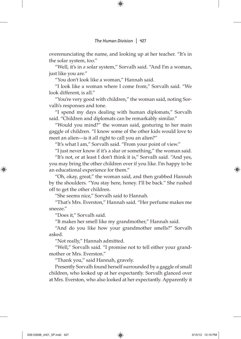overenunciating the name, and looking up at her teacher. "It's in the solar system, too."

"Well, it's in *a* solar system," Sorvalh said. "And I'm a woman, just like you are."

"You don't look like a woman," Hannah said.

"I look like a woman where I come from," Sorvalh said. "We look different, is all."

"You're very good with children," the woman said, noting Sorvalh's responses and tone.

"I spend my days dealing with human diplomats," Sorvalh said. "Children and diplomats can be remarkably similar."

"Would you mind?" the woman said, gesturing to her main gaggle of children. "I know some of the other kids would love to meet an alien—is it all right to call you an alien?"

"It's what I am," Sorvalh said. "From your point of view."

"I just never know if it's a slur or something," the woman said.

"It's not, or at least I don't think it is," Sorvalh said. "And yes, you may bring the other children over if you like. I'm happy to be an educational experience for them."

"Oh, okay, great," the woman said, and then grabbed Hannah by the shoulders. "You stay here, honey. I'll be back." She rushed off to get the other children.

"She seems nice," Sorvalh said to Hannah.

"That's Mrs. Everston," Hannah said. "Her perfume makes me sneeze."

"Does it," Sorvalh said.

"It makes her smell like my grandmother," Hannah said.

"And do you like how your grandmother smells?" Sorvalh asked.

"Not really," Hannah admitted.

"Well," Sorvalh said. "I promise not to tell either your grandmother or Mrs. Everston."

"Thank you," said Hannah, gravely.

Presently Sorvalh found herself surrounded by a gaggle of small children, who looked up at her expectantly. Sorvalh glanced over at Mrs. Everston, who also looked at her expectantly. Apparently it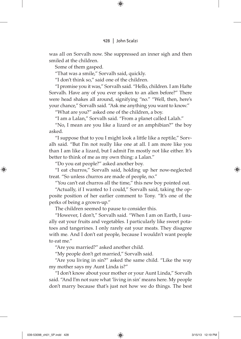was all on Sorvalh now. She suppressed an inner sigh and then smiled at the children.

Some of them gasped.

"That was a smile," Sorvalh said, quickly.

"I don't think so," said one of the children.

"I promise you it was," Sorvalh said. "Hello, children. I am Hafte Sorvalh. Have any of you ever spoken to an alien before?" There were head shakes all around, signifying "no." "Well, then, here's your chance," Sorvalh said. "Ask me anything you want to know."

"What are you?" asked one of the children, a boy.

"I am a Lalan," Sorvalh said. "From a planet called Lalah."

"No, I mean are you like a lizard or an amphibian?" the boy asked.

"I suppose that to you I might look a little like a reptile," Sorvalh said. "But I'm not really like one at all. I am more like you than I am like a lizard, but I admit I'm mostly not like either. It's better to think of me as my own thing: a Lalan."

"Do you eat people?" asked another boy.

"I eat churros," Sorvalh said, holding up her now-neglected treat. "So unless churros are made of people, no."

"You can't eat churros all the time," this new boy pointed out.

"Actually, if I wanted to I could," Sorvalh said, taking the opposite position of her earlier comment to Tony. "It's one of the perks of being a grown-up."

The children seemed to pause to consider this.

"However, I don't," Sorvalh said. "When I am on Earth, I usually eat your fruits and vegetables. I particularly like sweet potatoes and tangerines. I only rarely eat your meats. They disagree with me. And I don't eat people, because I wouldn't want people to eat me."

"Are you married?" asked another child.

"My people don't get married," Sorvalh said.

"Are you living in sin?" asked the same child. "Like the way my mother says my Aunt Linda is?"

"I don't know about your mother or your Aunt Linda," Sorvalh said. "And I'm not sure what 'living in sin' means here. My people don't marry because that's just not how we do things. The best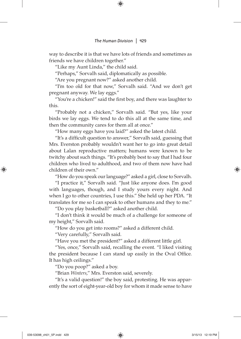way to describe it is that we have lots of friends and sometimes as friends we have children together."

"Like my Aunt Linda," the child said.

"Perhaps," Sorvalh said, diplomatically as possible.

"Are you pregnant now?" asked another child.

"I'm too old for that now," Sorvalh said. "And we don't get pregnant anyway. We lay eggs."

"You're a chicken!" said the first boy, and there was laughter to this.

"Probably not a chicken," Sorvalh said. "But yes, like your birds we lay eggs. We tend to do this all at the same time, and then the community cares for them all at once."

"How many eggs have you laid?" asked the latest child.

"It's a difficult question to answer," Sorvalh said, guessing that Mrs. Everston probably wouldn't want her to go into great detail about Lalan reproductive matters; humans were known to be twitchy about such things. "It's probably best to say that I had four children who lived to adulthood, and two of them now have had children of their own."

"How do you speak our language?" asked a girl, close to Sorvalh.

"I practice it," Sorvalh said. "Just like anyone does. I'm good with languages, though, and I study yours every night. And when I go to other countries, I use this." She held up her PDA. "It translates for me so I can speak to other humans and they to me."

"Do you play basketball?" asked another child.

"I don't think it would be much of a challenge for someone of my height," Sorvalh said.

"How do you get into rooms?" asked a different child.

"Very carefully," Sorvalh said.

"Have you met the president?" asked a different little girl.

"Yes, once," Sorvalh said, recalling the event. "I liked visiting the president because I can stand up easily in the Oval Office. It has high ceilings."

"Do you poop?" asked a boy.

"Brian *Winters*," Mrs. Everston said, severely.

"It's a valid question!" the boy said, protesting. He was apparently the sort of eight-year-old boy for whom it made sense to have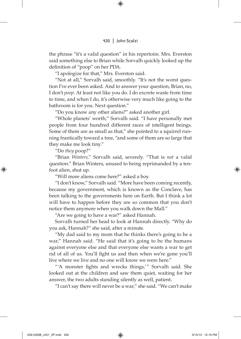the phrase "it's a valid question" in his repertoire. Mrs. Everston said something else to Brian while Sorvalh quickly looked up the definition of "poop" on her PDA.

"I apologize for that," Mrs. Everston said.

"Not at all," Sorvalh said, smoothly. "It's not the worst question I've ever been asked. And to answer your question, Brian, no, I don't *poop*. At least not like you do. I do excrete waste from time to time, and when I do, it's otherwise very much like going to the bathroom is for you. Next question."

"Do you know any other aliens?" asked another girl.

"Whole planets' worth," Sorvalh said. "I have personally met people from four hundred different races of intelligent beings. Some of them are as small as that," she pointed to a squirrel running frantically toward a tree, "and some of them are so large that they make me look tiny."

"Do *they* poop?"

"Brian *Winters*," Sorvalh said, severely. "That is *not* a valid question." Brian Winters, unused to being reprimanded by a tenfoot alien, shut up.

"Will more aliens come here?" asked a boy.

"I don't know," Sorvalh said. "More have been coming recently, because my government, which is known as the Conclave, has been talking to the governments here on Earth. But I think a lot will have to happen before they are so common that you don't notice them anymore when you walk down the Mall."

"Are we going to have a war?" asked Hannah.

Sorvalh turned her head to look at Hannah directly. "Why do you ask, Hannah?" she said, after a minute.

"My dad said to my mom that he thinks there's going to be a war," Hannah said. "He said that it's going to be the humans against everyone else and that everyone else wants a war to get rid of all of us. You'll fight us and then when we're gone you'll live where we live and no one will know we were here."

"'A monster fights and wrecks things,'" Sorvalh said. She looked out at the children and saw them quiet, waiting for her answer, the two adults standing silently as well, patient.

"I can't say there will never be a war," she said. "We can't make